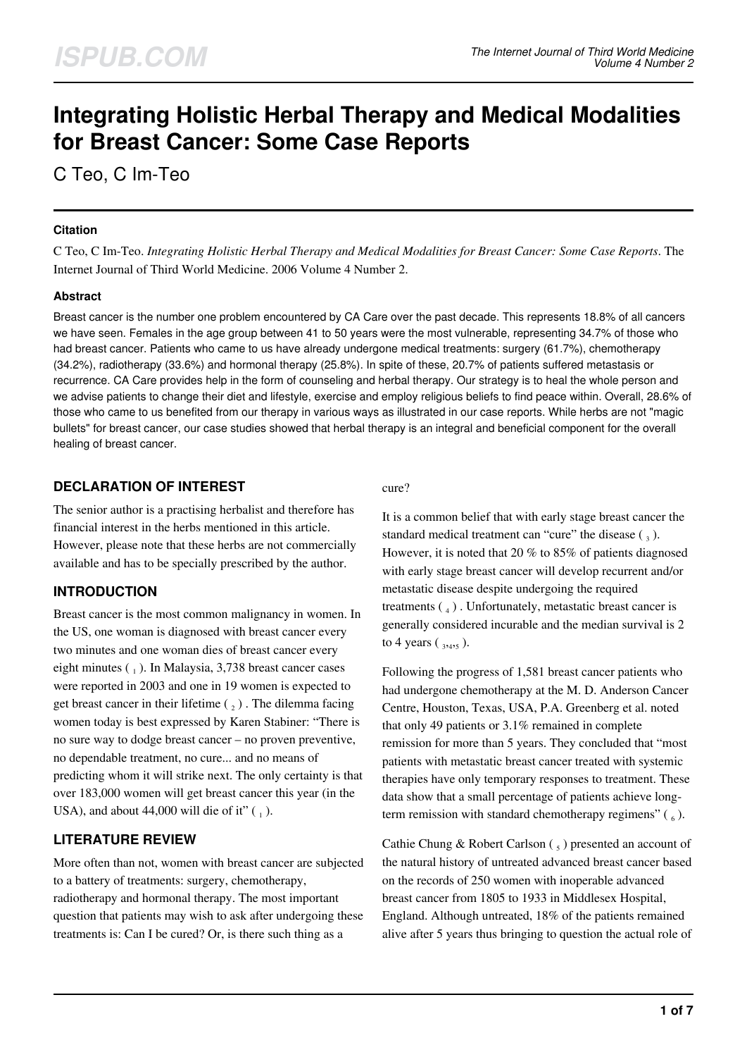# **Integrating Holistic Herbal Therapy and Medical Modalities for Breast Cancer: Some Case Reports**

C Teo, C Im-Teo

#### **Citation**

C Teo, C Im-Teo. *Integrating Holistic Herbal Therapy and Medical Modalities for Breast Cancer: Some Case Reports*. The Internet Journal of Third World Medicine. 2006 Volume 4 Number 2.

### **Abstract**

Breast cancer is the number one problem encountered by CA Care over the past decade. This represents 18.8% of all cancers we have seen. Females in the age group between 41 to 50 years were the most vulnerable, representing 34.7% of those who had breast cancer. Patients who came to us have already undergone medical treatments: surgery (61.7%), chemotherapy (34.2%), radiotherapy (33.6%) and hormonal therapy (25.8%). In spite of these, 20.7% of patients suffered metastasis or recurrence. CA Care provides help in the form of counseling and herbal therapy. Our strategy is to heal the whole person and we advise patients to change their diet and lifestyle, exercise and employ religious beliefs to find peace within. Overall, 28.6% of those who came to us benefited from our therapy in various ways as illustrated in our case reports. While herbs are not "magic bullets" for breast cancer, our case studies showed that herbal therapy is an integral and beneficial component for the overall healing of breast cancer.

## **DECLARATION OF INTEREST**

The senior author is a practising herbalist and therefore has financial interest in the herbs mentioned in this article. However, please note that these herbs are not commercially available and has to be specially prescribed by the author.

## **INTRODUCTION**

Breast cancer is the most common malignancy in women. In the US, one woman is diagnosed with breast cancer every two minutes and one woman dies of breast cancer every eight minutes  $\binom{1}{1}$ . In Malaysia, 3,738 breast cancer cases were reported in 2003 and one in 19 women is expected to get breast cancer in their lifetime  $\binom{1}{2}$ . The dilemma facing women today is best expressed by Karen Stabiner: "There is no sure way to dodge breast cancer – no proven preventive, no dependable treatment, no cure... and no means of predicting whom it will strike next. The only certainty is that over 183,000 women will get breast cancer this year (in the USA), and about 44,000 will die of it"  $\binom{1}{1}$ .

## **LITERATURE REVIEW**

More often than not, women with breast cancer are subjected to a battery of treatments: surgery, chemotherapy, radiotherapy and hormonal therapy. The most important question that patients may wish to ask after undergoing these treatments is: Can I be cured? Or, is there such thing as a

#### cure?

It is a common belief that with early stage breast cancer the standard medical treatment can "cure" the disease  $\binom{3}{3}$ . However, it is noted that 20 % to 85% of patients diagnosed with early stage breast cancer will develop recurrent and/or metastatic disease despite undergoing the required treatments (4). Unfortunately, metastatic breast cancer is generally considered incurable and the median survival is 2 to 4 years  $(3,4,5)$ .

Following the progress of 1,581 breast cancer patients who had undergone chemotherapy at the M. D. Anderson Cancer Centre, Houston, Texas, USA, P.A. Greenberg et al. noted that only 49 patients or 3.1% remained in complete remission for more than 5 years. They concluded that "most patients with metastatic breast cancer treated with systemic therapies have only temporary responses to treatment. These data show that a small percentage of patients achieve longterm remission with standard chemotherapy regimens"  $(\epsilon_6)$ .

Cathie Chung & Robert Carlson (5) presented an account of the natural history of untreated advanced breast cancer based on the records of 250 women with inoperable advanced breast cancer from 1805 to 1933 in Middlesex Hospital, England. Although untreated, 18% of the patients remained alive after 5 years thus bringing to question the actual role of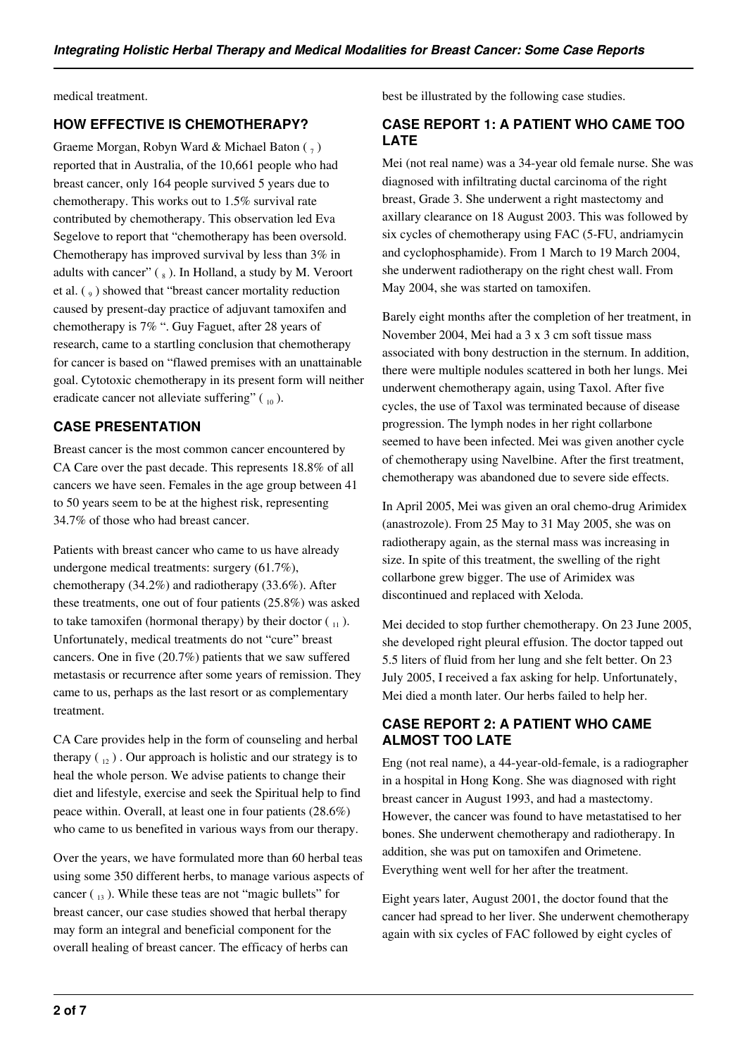medical treatment.

### **HOW EFFECTIVE IS CHEMOTHERAPY?**

Graeme Morgan, Robyn Ward & Michael Baton  $(\frac{1}{7})$ reported that in Australia, of the 10,661 people who had breast cancer, only 164 people survived 5 years due to chemotherapy. This works out to 1.5% survival rate contributed by chemotherapy. This observation led Eva Segelove to report that "chemotherapy has been oversold. Chemotherapy has improved survival by less than 3% in adults with cancer"  $(\Box_s)$ . In Holland, a study by M. Veroort et al.  $\left(\begin{smallmatrix} 0 \\ 9 \end{smallmatrix}\right)$  showed that "breast cancer mortality reduction caused by present-day practice of adjuvant tamoxifen and chemotherapy is 7% ". Guy Faguet, after 28 years of research, came to a startling conclusion that chemotherapy for cancer is based on "flawed premises with an unattainable goal. Cytotoxic chemotherapy in its present form will neither eradicate cancer not alleviate suffering"  $\binom{10}{10}$ .

#### **CASE PRESENTATION**

Breast cancer is the most common cancer encountered by CA Care over the past decade. This represents 18.8% of all cancers we have seen. Females in the age group between 41 to 50 years seem to be at the highest risk, representing 34.7% of those who had breast cancer.

Patients with breast cancer who came to us have already undergone medical treatments: surgery (61.7%), chemotherapy (34.2%) and radiotherapy (33.6%). After these treatments, one out of four patients (25.8%) was asked to take tamoxifen (hormonal therapy) by their doctor  $\binom{1}{1}$ . Unfortunately, medical treatments do not "cure" breast cancers. One in five (20.7%) patients that we saw suffered metastasis or recurrence after some years of remission. They came to us, perhaps as the last resort or as complementary treatment.

CA Care provides help in the form of counseling and herbal therapy  $\binom{1}{12}$ . Our approach is holistic and our strategy is to heal the whole person. We advise patients to change their diet and lifestyle, exercise and seek the Spiritual help to find peace within. Overall, at least one in four patients (28.6%) who came to us benefited in various ways from our therapy.

Over the years, we have formulated more than 60 herbal teas using some 350 different herbs, to manage various aspects of cancer  $\binom{13}{13}$ . While these teas are not "magic bullets" for breast cancer, our case studies showed that herbal therapy may form an integral and beneficial component for the overall healing of breast cancer. The efficacy of herbs can

best be illustrated by the following case studies.

## **CASE REPORT 1: A PATIENT WHO CAME TOO LATE**

Mei (not real name) was a 34-year old female nurse. She was diagnosed with infiltrating ductal carcinoma of the right breast, Grade 3. She underwent a right mastectomy and axillary clearance on 18 August 2003. This was followed by six cycles of chemotherapy using FAC (5-FU, andriamycin and cyclophosphamide). From 1 March to 19 March 2004, she underwent radiotherapy on the right chest wall. From May 2004, she was started on tamoxifen.

Barely eight months after the completion of her treatment, in November 2004, Mei had a 3 x 3 cm soft tissue mass associated with bony destruction in the sternum. In addition, there were multiple nodules scattered in both her lungs. Mei underwent chemotherapy again, using Taxol. After five cycles, the use of Taxol was terminated because of disease progression. The lymph nodes in her right collarbone seemed to have been infected. Mei was given another cycle of chemotherapy using Navelbine. After the first treatment, chemotherapy was abandoned due to severe side effects.

In April 2005, Mei was given an oral chemo-drug Arimidex (anastrozole). From 25 May to 31 May 2005, she was on radiotherapy again, as the sternal mass was increasing in size. In spite of this treatment, the swelling of the right collarbone grew bigger. The use of Arimidex was discontinued and replaced with Xeloda.

Mei decided to stop further chemotherapy. On 23 June 2005, she developed right pleural effusion. The doctor tapped out 5.5 liters of fluid from her lung and she felt better. On 23 July 2005, I received a fax asking for help. Unfortunately, Mei died a month later. Our herbs failed to help her.

#### **CASE REPORT 2: A PATIENT WHO CAME ALMOST TOO LATE**

Eng (not real name), a 44-year-old-female, is a radiographer in a hospital in Hong Kong. She was diagnosed with right breast cancer in August 1993, and had a mastectomy. However, the cancer was found to have metastatised to her bones. She underwent chemotherapy and radiotherapy. In addition, she was put on tamoxifen and Orimetene. Everything went well for her after the treatment.

Eight years later, August 2001, the doctor found that the cancer had spread to her liver. She underwent chemotherapy again with six cycles of FAC followed by eight cycles of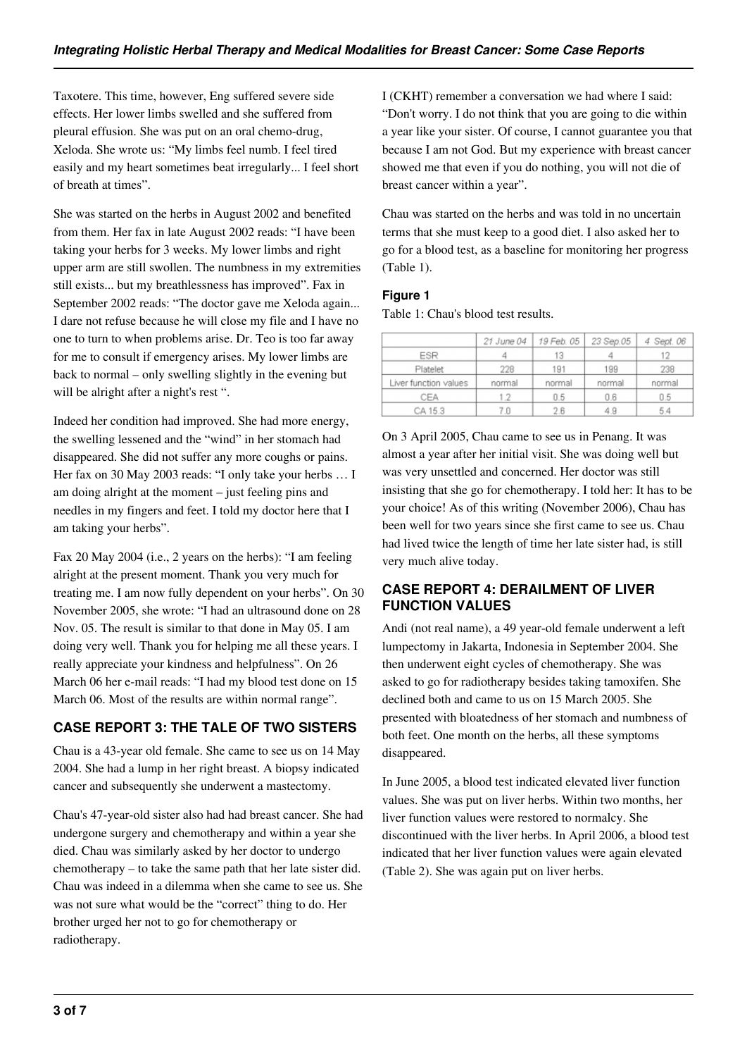Taxotere. This time, however, Eng suffered severe side effects. Her lower limbs swelled and she suffered from pleural effusion. She was put on an oral chemo-drug, Xeloda. She wrote us: "My limbs feel numb. I feel tired easily and my heart sometimes beat irregularly... I feel short of breath at times".

She was started on the herbs in August 2002 and benefited from them. Her fax in late August 2002 reads: "I have been taking your herbs for 3 weeks. My lower limbs and right upper arm are still swollen. The numbness in my extremities still exists... but my breathlessness has improved". Fax in September 2002 reads: "The doctor gave me Xeloda again... I dare not refuse because he will close my file and I have no one to turn to when problems arise. Dr. Teo is too far away for me to consult if emergency arises. My lower limbs are back to normal – only swelling slightly in the evening but will be alright after a night's rest ".

Indeed her condition had improved. She had more energy, the swelling lessened and the "wind" in her stomach had disappeared. She did not suffer any more coughs or pains. Her fax on 30 May 2003 reads: "I only take your herbs … I am doing alright at the moment – just feeling pins and needles in my fingers and feet. I told my doctor here that I am taking your herbs".

Fax 20 May 2004 (i.e., 2 years on the herbs): "I am feeling alright at the present moment. Thank you very much for treating me. I am now fully dependent on your herbs". On 30 November 2005, she wrote: "I had an ultrasound done on 28 Nov. 05. The result is similar to that done in May 05. I am doing very well. Thank you for helping me all these years. I really appreciate your kindness and helpfulness". On 26 March 06 her e-mail reads: "I had my blood test done on 15 March 06. Most of the results are within normal range".

## **CASE REPORT 3: THE TALE OF TWO SISTERS**

Chau is a 43-year old female. She came to see us on 14 May 2004. She had a lump in her right breast. A biopsy indicated cancer and subsequently she underwent a mastectomy.

Chau's 47-year-old sister also had had breast cancer. She had undergone surgery and chemotherapy and within a year she died. Chau was similarly asked by her doctor to undergo chemotherapy – to take the same path that her late sister did. Chau was indeed in a dilemma when she came to see us. She was not sure what would be the "correct" thing to do. Her brother urged her not to go for chemotherapy or radiotherapy.

I (CKHT) remember a conversation we had where I said: "Don't worry. I do not think that you are going to die within a year like your sister. Of course, I cannot guarantee you that because I am not God. But my experience with breast cancer showed me that even if you do nothing, you will not die of breast cancer within a year".

Chau was started on the herbs and was told in no uncertain terms that she must keep to a good diet. I also asked her to go for a blood test, as a baseline for monitoring her progress (Table 1).

#### **Figure 1**

Table 1: Chau's blood test results.

|                       | 21 June 04 | 19 Feb. 05 | 23 Sep.05 | 4 Sept. 06 |
|-----------------------|------------|------------|-----------|------------|
| ESR                   |            | 13         |           |            |
| Platelet              | 228        | 191        | 199       | 238        |
| Liver function values | normal     | normal     | normal    | normal     |
| CEA                   | 1.2        | 0.5        | 0.6       | 0.5        |
| CA 15.3               |            | 2.6        | 4.9       | 54         |

On 3 April 2005, Chau came to see us in Penang. It was almost a year after her initial visit. She was doing well but was very unsettled and concerned. Her doctor was still insisting that she go for chemotherapy. I told her: It has to be your choice! As of this writing (November 2006), Chau has been well for two years since she first came to see us. Chau had lived twice the length of time her late sister had, is still very much alive today.

## **CASE REPORT 4: DERAILMENT OF LIVER FUNCTION VALUES**

Andi (not real name), a 49 year-old female underwent a left lumpectomy in Jakarta, Indonesia in September 2004. She then underwent eight cycles of chemotherapy. She was asked to go for radiotherapy besides taking tamoxifen. She declined both and came to us on 15 March 2005. She presented with bloatedness of her stomach and numbness of both feet. One month on the herbs, all these symptoms disappeared.

In June 2005, a blood test indicated elevated liver function values. She was put on liver herbs. Within two months, her liver function values were restored to normalcy. She discontinued with the liver herbs. In April 2006, a blood test indicated that her liver function values were again elevated (Table 2). She was again put on liver herbs.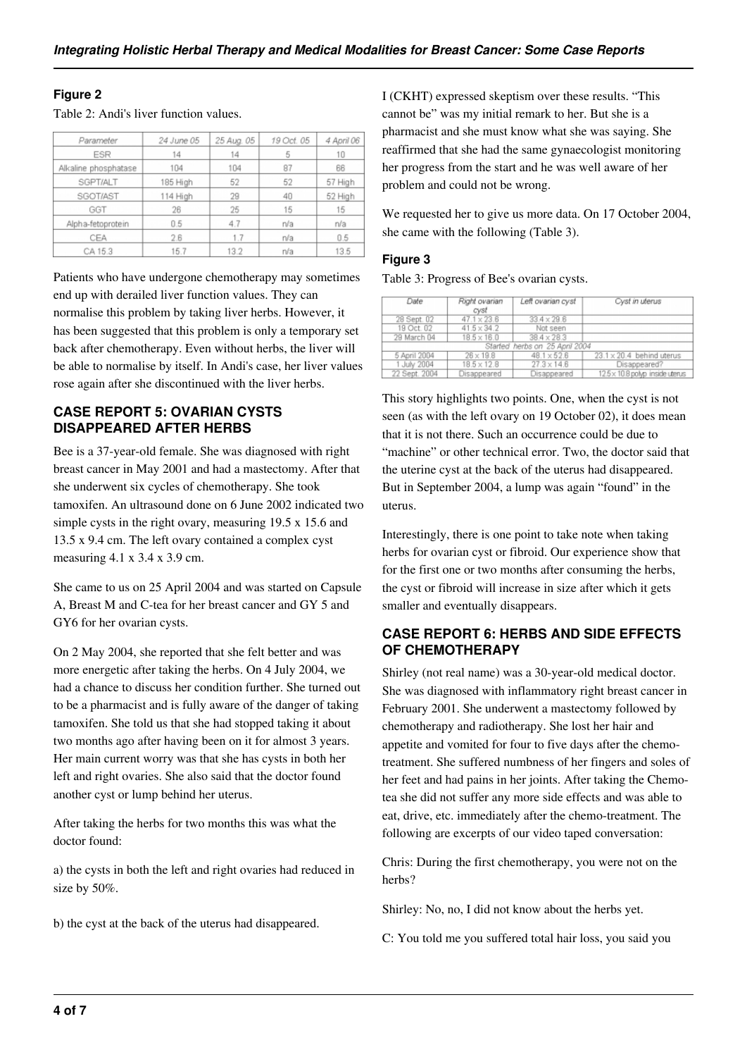#### **Figure 2**

Table 2: Andi's liver function values.

| Parameter            | 24 June 05 | 25 Aug. 05 | 19 Oct. 05 | 4 April 06<br>10 |  |
|----------------------|------------|------------|------------|------------------|--|
| ESR                  | 14         | 14         | 5          |                  |  |
| Alkaline phosphatase | 104        | 104        | 87         | 66               |  |
| SGPT/ALT             | 185 High   | 52         | 52         | 57 High          |  |
| SGOT/AST             | 114 High   | 29         | 40         | 52 High          |  |
| GGT                  | 26         | 25         | 15         | 15               |  |
| Alpha-fetoprotein    | 0.5        | 4.7        | n/a        | n/a              |  |
| CEA                  | 2.6        | 1.7        | n/a        | 0.5              |  |
| CA 15.3              | 15.7       | 13.2       | n/a        | 13.5             |  |

Patients who have undergone chemotherapy may sometimes end up with derailed liver function values. They can normalise this problem by taking liver herbs. However, it has been suggested that this problem is only a temporary set back after chemotherapy. Even without herbs, the liver will be able to normalise by itself. In Andi's case, her liver values rose again after she discontinued with the liver herbs.

#### **CASE REPORT 5: OVARIAN CYSTS DISAPPEARED AFTER HERBS**

Bee is a 37-year-old female. She was diagnosed with right breast cancer in May 2001 and had a mastectomy. After that she underwent six cycles of chemotherapy. She took tamoxifen. An ultrasound done on 6 June 2002 indicated two simple cysts in the right ovary, measuring 19.5 x 15.6 and 13.5 x 9.4 cm. The left ovary contained a complex cyst measuring 4.1 x 3.4 x 3.9 cm.

She came to us on 25 April 2004 and was started on Capsule A, Breast M and C-tea for her breast cancer and GY 5 and GY6 for her ovarian cysts.

On 2 May 2004, she reported that she felt better and was more energetic after taking the herbs. On 4 July 2004, we had a chance to discuss her condition further. She turned out to be a pharmacist and is fully aware of the danger of taking tamoxifen. She told us that she had stopped taking it about two months ago after having been on it for almost 3 years. Her main current worry was that she has cysts in both her left and right ovaries. She also said that the doctor found another cyst or lump behind her uterus.

After taking the herbs for two months this was what the doctor found:

a) the cysts in both the left and right ovaries had reduced in size by 50%.

b) the cyst at the back of the uterus had disappeared.

I (CKHT) expressed skeptism over these results. "This cannot be" was my initial remark to her. But she is a pharmacist and she must know what she was saying. She reaffirmed that she had the same gynaecologist monitoring her progress from the start and he was well aware of her problem and could not be wrong.

We requested her to give us more data. On 17 October 2004, she came with the following (Table 3).

#### **Figure 3**

Table 3: Progress of Bee's ovarian cysts.

| Date                           | Right ovarian<br>cyst | Left ovarian cyst  | Cyst in uterus                   |  |  |  |
|--------------------------------|-----------------------|--------------------|----------------------------------|--|--|--|
| 28 Sept. 02                    | $47.1 \times 23.6$    | $33.4 \times 29.6$ |                                  |  |  |  |
| 19 Oct. 02                     | $41.5 \times 34.2$    | Not seen           |                                  |  |  |  |
| 29 March 04                    | $18.5 \times 16.0$    | $38.4 \times 28.3$ |                                  |  |  |  |
| Started herbs on 25 April 2004 |                       |                    |                                  |  |  |  |
| 5 April 2004                   | $26 \times 19.8$      | $48.1 \times 52.6$ | $23.1 \times 20.4$ behind uterus |  |  |  |
| 1 July 2004                    | $18.5 \times 12.8$    | $27.3 \times 14.6$ | Disappeared?                     |  |  |  |
| 22 Sept. 2004                  | Disappeared           | Disappeared        | 12.5 x 10.8 polyp inside uterus  |  |  |  |

This story highlights two points. One, when the cyst is not seen (as with the left ovary on 19 October 02), it does mean that it is not there. Such an occurrence could be due to "machine" or other technical error. Two, the doctor said that the uterine cyst at the back of the uterus had disappeared. But in September 2004, a lump was again "found" in the uterus.

Interestingly, there is one point to take note when taking herbs for ovarian cyst or fibroid. Our experience show that for the first one or two months after consuming the herbs, the cyst or fibroid will increase in size after which it gets smaller and eventually disappears.

#### **CASE REPORT 6: HERBS AND SIDE EFFECTS OF CHEMOTHERAPY**

Shirley (not real name) was a 30-year-old medical doctor. She was diagnosed with inflammatory right breast cancer in February 2001. She underwent a mastectomy followed by chemotherapy and radiotherapy. She lost her hair and appetite and vomited for four to five days after the chemotreatment. She suffered numbness of her fingers and soles of her feet and had pains in her joints. After taking the Chemotea she did not suffer any more side effects and was able to eat, drive, etc. immediately after the chemo-treatment. The following are excerpts of our video taped conversation:

Chris: During the first chemotherapy, you were not on the herbs?

Shirley: No, no, I did not know about the herbs yet.

C: You told me you suffered total hair loss, you said you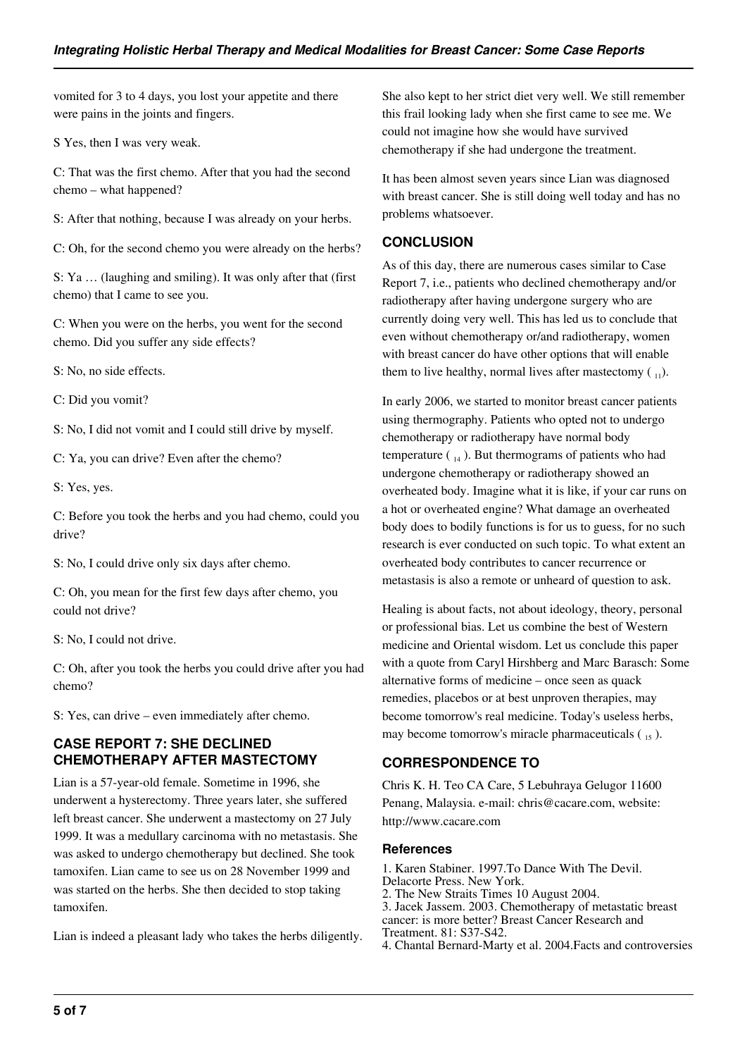vomited for 3 to 4 days, you lost your appetite and there were pains in the joints and fingers.

S Yes, then I was very weak.

C: That was the first chemo. After that you had the second chemo – what happened?

S: After that nothing, because I was already on your herbs.

C: Oh, for the second chemo you were already on the herbs?

S: Ya … (laughing and smiling). It was only after that (first chemo) that I came to see you.

C: When you were on the herbs, you went for the second chemo. Did you suffer any side effects?

S: No, no side effects.

C: Did you vomit?

S: No, I did not vomit and I could still drive by myself.

C: Ya, you can drive? Even after the chemo?

S: Yes, yes.

C: Before you took the herbs and you had chemo, could you drive?

S: No, I could drive only six days after chemo.

C: Oh, you mean for the first few days after chemo, you could not drive?

S: No, I could not drive.

C: Oh, after you took the herbs you could drive after you had chemo?

S: Yes, can drive – even immediately after chemo.

#### **CASE REPORT 7: SHE DECLINED CHEMOTHERAPY AFTER MASTECTOMY**

Lian is a 57-year-old female. Sometime in 1996, she underwent a hysterectomy. Three years later, she suffered left breast cancer. She underwent a mastectomy on 27 July 1999. It was a medullary carcinoma with no metastasis. She was asked to undergo chemotherapy but declined. She took tamoxifen. Lian came to see us on 28 November 1999 and was started on the herbs. She then decided to stop taking tamoxifen.

Lian is indeed a pleasant lady who takes the herbs diligently.

She also kept to her strict diet very well. We still remember this frail looking lady when she first came to see me. We could not imagine how she would have survived chemotherapy if she had undergone the treatment.

It has been almost seven years since Lian was diagnosed with breast cancer. She is still doing well today and has no problems whatsoever.

#### **CONCLUSION**

As of this day, there are numerous cases similar to Case Report 7, i.e., patients who declined chemotherapy and/or radiotherapy after having undergone surgery who are currently doing very well. This has led us to conclude that even without chemotherapy or/and radiotherapy, women with breast cancer do have other options that will enable them to live healthy, normal lives after mastectomy  $\binom{1}{1}$ .

In early 2006, we started to monitor breast cancer patients using thermography. Patients who opted not to undergo chemotherapy or radiotherapy have normal body temperature  $\binom{14}{14}$ . But thermograms of patients who had undergone chemotherapy or radiotherapy showed an overheated body. Imagine what it is like, if your car runs on a hot or overheated engine? What damage an overheated body does to bodily functions is for us to guess, for no such research is ever conducted on such topic. To what extent an overheated body contributes to cancer recurrence or metastasis is also a remote or unheard of question to ask.

Healing is about facts, not about ideology, theory, personal or professional bias. Let us combine the best of Western medicine and Oriental wisdom. Let us conclude this paper with a quote from Caryl Hirshberg and Marc Barasch: Some alternative forms of medicine – once seen as quack remedies, placebos or at best unproven therapies, may become tomorrow's real medicine. Today's useless herbs, may become tomorrow's miracle pharmaceuticals  $\binom{15}{15}$ .

#### **CORRESPONDENCE TO**

Chris K. H. Teo CA Care, 5 Lebuhraya Gelugor 11600 Penang, Malaysia. e-mail: chris@cacare.com, website: http://www.cacare.com

#### **References**

1. Karen Stabiner. 1997.To Dance With The Devil. Delacorte Press. New York. 2. The New Straits Times 10 August 2004. 3. Jacek Jassem. 2003. Chemotherapy of metastatic breast cancer: is more better? Breast Cancer Research and Treatment. 81: S37-S42. 4. Chantal Bernard-Marty et al. 2004.Facts and controversies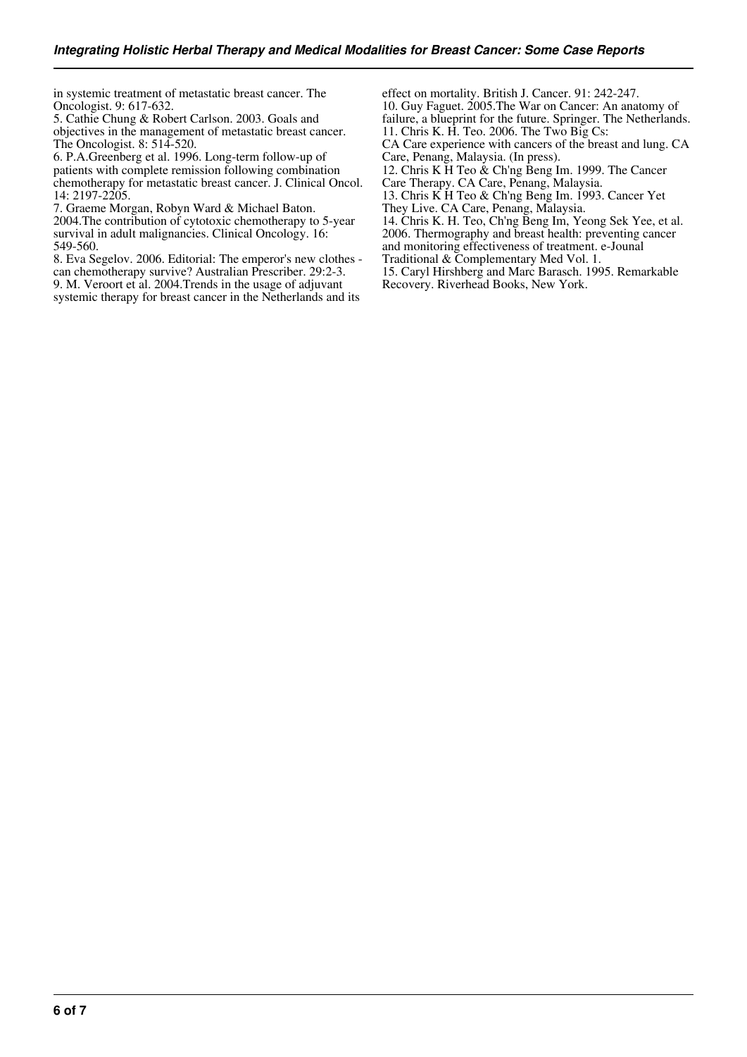in systemic treatment of metastatic breast cancer. The Oncologist. 9: 617-632.

5. Cathie Chung & Robert Carlson. 2003. Goals and objectives in the management of metastatic breast cancer. The Oncologist. 8: 514-520.

6. P.A.Greenberg et al. 1996. Long-term follow-up of patients with complete remission following combination chemotherapy for metastatic breast cancer. J. Clinical Oncol. 14: 2197-2205.

7. Graeme Morgan, Robyn Ward & Michael Baton.

2004.The contribution of cytotoxic chemotherapy to 5-year survival in adult malignancies. Clinical Oncology. 16: 549-560.

8. Eva Segelov. 2006. Editorial: The emperor's new clothes can chemotherapy survive? Australian Prescriber. 29:2-3. 9. M. Veroort et al. 2004.Trends in the usage of adjuvant systemic therapy for breast cancer in the Netherlands and its

effect on mortality. British J. Cancer. 91: 242-247. 10. Guy Faguet. 2005.The War on Cancer: An anatomy of failure, a blueprint for the future. Springer. The Netherlands. 11. Chris K. H. Teo. 2006. The Two Big Cs:

CA Care experience with cancers of the breast and lung. CA Care, Penang, Malaysia. (In press).

12. Chris K H Teo & Ch'ng Beng Im. 1999. The Cancer

Care Therapy. CA Care, Penang, Malaysia.

13. Chris K H Teo & Ch'ng Beng Im. 1993. Cancer Yet They Live. CA Care, Penang, Malaysia.

14. Chris K. H. Teo, Ch'ng Beng Im, Yeong Sek Yee, et al. 2006. Thermography and breast health: preventing cancer and monitoring effectiveness of treatment. e-Jounal

Traditional & Complementary Med Vol. 1.

15. Caryl Hirshberg and Marc Barasch. 1995. Remarkable Recovery. Riverhead Books, New York.